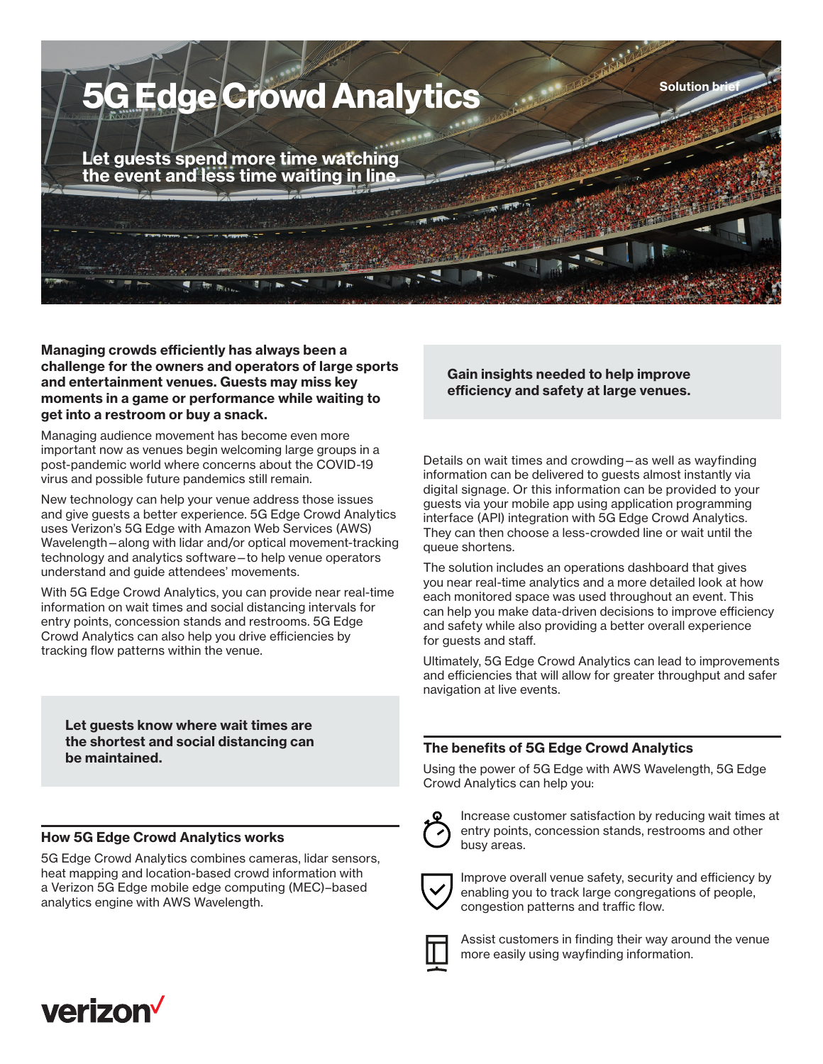

**Managing crowds efficiently has always been a challenge for the owners and operators of large sports and entertainment venues. Guests may miss key moments in a game or performance while waiting to get into a restroom or buy a snack.**

Managing audience movement has become even more important now as venues begin welcoming large groups in a post-pandemic world where concerns about the COVID-19 virus and possible future pandemics still remain.

New technology can help your venue address those issues and give guests a better experience. 5G Edge Crowd Analytics uses Verizon's 5G Edge with Amazon Web Services (AWS) Wavelength—along with lidar and/or optical movement-tracking technology and analytics software—to help venue operators understand and guide attendees' movements.

With 5G Edge Crowd Analytics, you can provide near real-time information on wait times and social distancing intervals for entry points, concession stands and restrooms. 5G Edge Crowd Analytics can also help you drive efficiencies by tracking flow patterns within the venue.

**Let guests know where wait times are the shortest and social distancing can be maintained.**

## **How 5G Edge Crowd Analytics works**

5G Edge Crowd Analytics combines cameras, lidar sensors, heat mapping and location-based crowd information with a Verizon 5G Edge mobile edge computing (MEC)–based analytics engine with AWS Wavelength.

**Gain insights needed to help improve efficiency and safety at large venues.**

Details on wait times and crowding—as well as wayfinding information can be delivered to guests almost instantly via digital signage. Or this information can be provided to your guests via your mobile app using application programming interface (API) integration with 5G Edge Crowd Analytics. They can then choose a less-crowded line or wait until the queue shortens.

The solution includes an operations dashboard that gives you near real-time analytics and a more detailed look at how each monitored space was used throughout an event. This can help you make data-driven decisions to improve efficiency and safety while also providing a better overall experience for guests and staff.

Ultimately, 5G Edge Crowd Analytics can lead to improvements and efficiencies that will allow for greater throughput and safer navigation at live events.

## **The benefits of 5G Edge Crowd Analytics**

Using the power of 5G Edge with AWS Wavelength, 5G Edge Crowd Analytics can help you:



Increase customer satisfaction by reducing wait times at entry points, concession stands, restrooms and other busy areas.



Improve overall venue safety, security and efficiency by enabling you to track large congregations of people, congestion patterns and traffic flow.



Assist customers in finding their way around the venue more easily using wayfinding information.